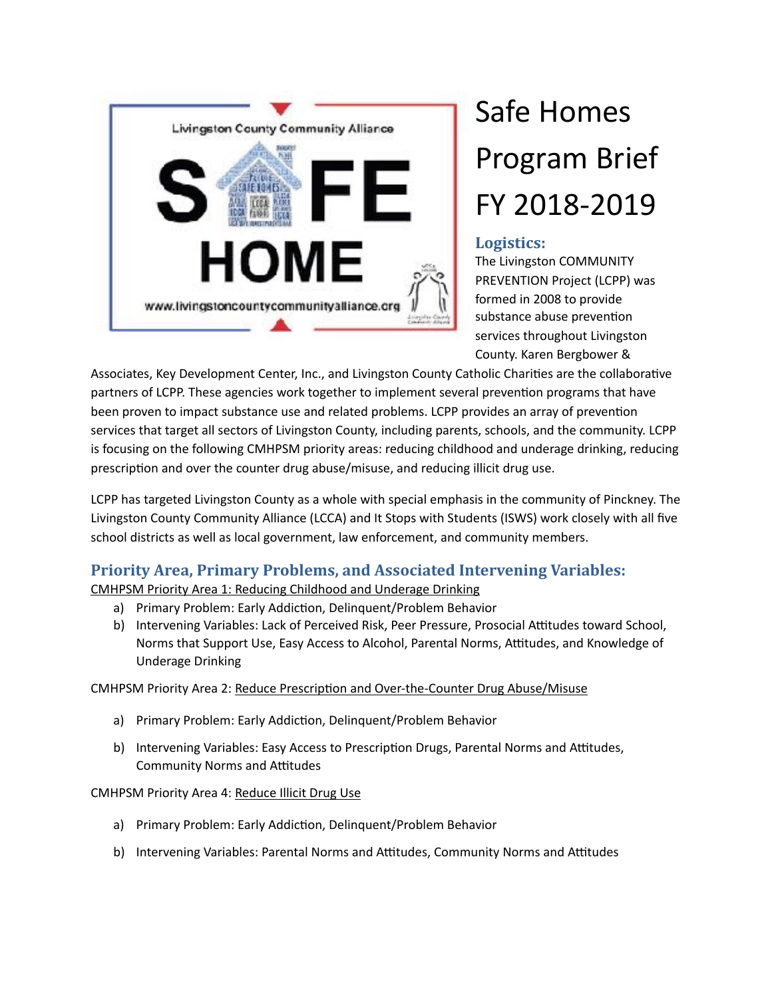

# Safe Homes Program Brief FY 2018-2019

# Logistics:

The Livingston COMMUNITY PREVENTION Project (LCPP) was formed in 2008 to provide substance abuse prevention services throughout Livingston County. Karen Bergbower &

Associates, Key Development Center, Inc., and Livingston County Catholic Charities are the collaborative partners of LCPP. These agencies work together to implement several prevention programs that have been proven to impact substance use and related problems. LCPP provides an array of prevention services that target all sectors of Livingston County, including parents, schools, and the community. LCPP is focusing on the following CMHPSM priority areas: reducing childhood and underage drinking, reducing prescription and over the counter drug abuse/misuse, and reducing illicit drug use.

LCPP has targeted Livingston County as a whole with special emphasis in the community of Pinckney. The Livingston County Community Alliance (LCCA) and It Stops with Students (ISWS) work closely with all five school districts as well as local government, law enforcement, and community members.

# **Priority Area, Primary Problems, and Associated Intervening Variables:**

CMHPSM Priority Area 1: Reducing Childhood and Underage Drinking

- a) Primary Problem: Early Addiction, Delinquent/Problem Behavior
- b) Intervening Variables: Lack of Perceived Risk, Peer Pressure, Prosocial Attitudes toward School, Norms that Support Use, Easy Access to Alcohol, Parental Norms, Attitudes, and Knowledge of Underage Drinking

CMHPSM Priority Area 2: Reduce Prescription and Over-the-Counter Drug Abuse/Misuse

- a) Primary Problem: Early Addiction, Delinquent/Problem Behavior
- b) Intervening Variables: Easy Access to Prescription Drugs, Parental Norms and Attitudes, Community Norms and Attitudes

CMHPSM Priority Area 4: Reduce Illicit Drug Use

- a) Primary Problem: Early Addiction, Delinquent/Problem Behavior
- b) Intervening Variables: Parental Norms and Attitudes, Community Norms and Attitudes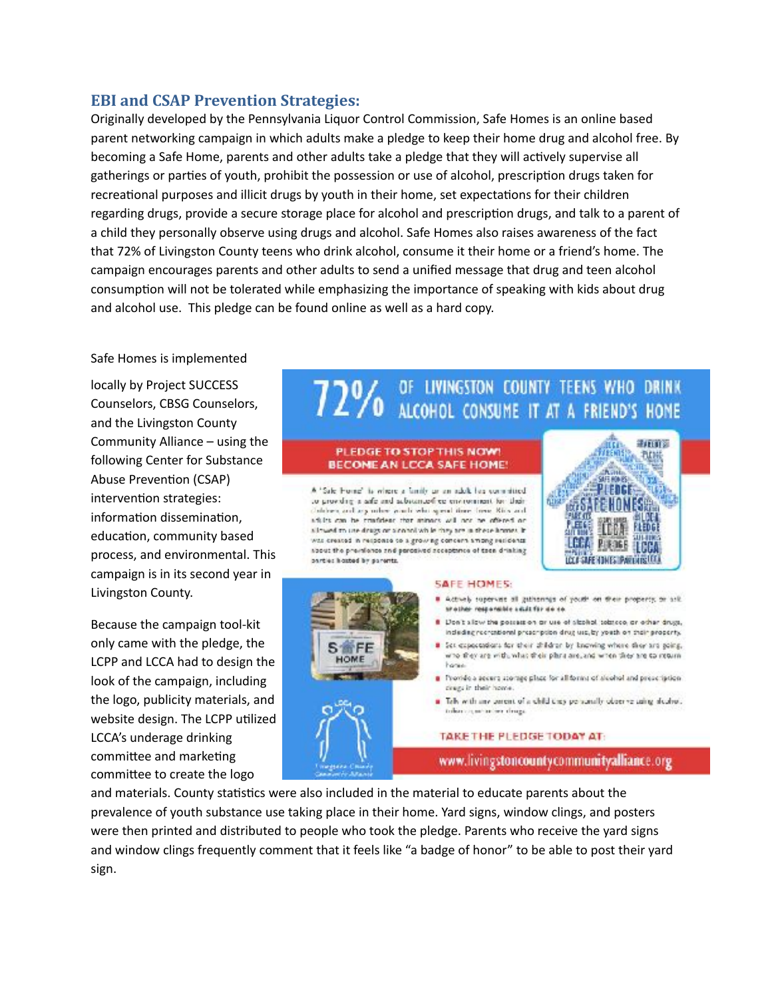## **EBI** and **CSAP** Prevention Strategies:

Originally developed by the Pennsylvania Liquor Control Commission, Safe Homes is an online based parent networking campaign in which adults make a pledge to keep their home drug and alcohol free. By becoming a Safe Home, parents and other adults take a pledge that they will actively supervise all gatherings or parties of youth, prohibit the possession or use of alcohol, prescription drugs taken for recreational purposes and illicit drugs by youth in their home, set expectations for their children regarding drugs, provide a secure storage place for alcohol and prescription drugs, and talk to a parent of a child they personally observe using drugs and alcohol. Safe Homes also raises awareness of the fact that 72% of Livingston County teens who drink alcohol, consume it their home or a friend's home. The campaign encourages parents and other adults to send a unified message that drug and teen alcohol consumption will not be tolerated while emphasizing the importance of speaking with kids about drug and alcohol use. This pledge can be found online as well as a hard copy.

### Safe Homes is implemented

locally by Project SUCCESS Counselors, CBSG Counselors, and the Livingston County Community Alliance  $-$  using the following Center for Substance Abuse Prevention (CSAP) intervention strategies: information dissemination, education, community based process, and environmental. This campaign is in its second year in Livingston County. 

Because the campaign tool-kit only came with the pledge, the LCPP and LCCA had to design the look of the campaign, including the logo, publicity materials, and website design. The LCPP utilized LCCA's underage drinking committee and marketing committee to create the logo

# 72% OF LIVINGSTON COUNTY TEENS WHO DRINK OF LIVINGSTON COUNTY TEENS WHO DRINK

### PLEDGE TO STOP THIS NOW! BECOME AN LCCA SAFE HOME!

A "Sale Forme" is where a lamity as an adole has consistined to providing a adicional achitectural convenient for their children and ary other world who spend time. Gene Rics and which can be confident that shinars will not be offered on allowed to use drugs or airpinol while they are in these homes. In was created in response to a growing concern smong residence soout the pre-aleace and perceived acceptance of toon drinking parties hosted by parents.



#### **SAFE HOMES:**

Actively reperved all gatherings of youth on their property, or ark. shother responsible usils for de to

- Pon't slow the possession or use of sizakol, tobscop or other drugs, indeding recreational prescription drug use, by youth on their property.
- > Set expectations for their shildren by knowing where they are going. who they are with, what their plans are, and when they are to return
- Provide a secure storage place for all forms of sleehol and prescription deep in their home.
- Tab with any ament of a child cary personally observe asing sleabut. toler capacitation drugs.

### TAKE THE PLEDGE TODAY AT:

www.livingstoncountycommunityalliance.org

and materials. County statistics were also included in the material to educate parents about the prevalence of youth substance use taking place in their home. Yard signs, window clings, and posters were then printed and distributed to people who took the pledge. Parents who receive the yard signs and window clings frequently comment that it feels like "a badge of honor" to be able to post their yard sign. 

**WFF** 

HOME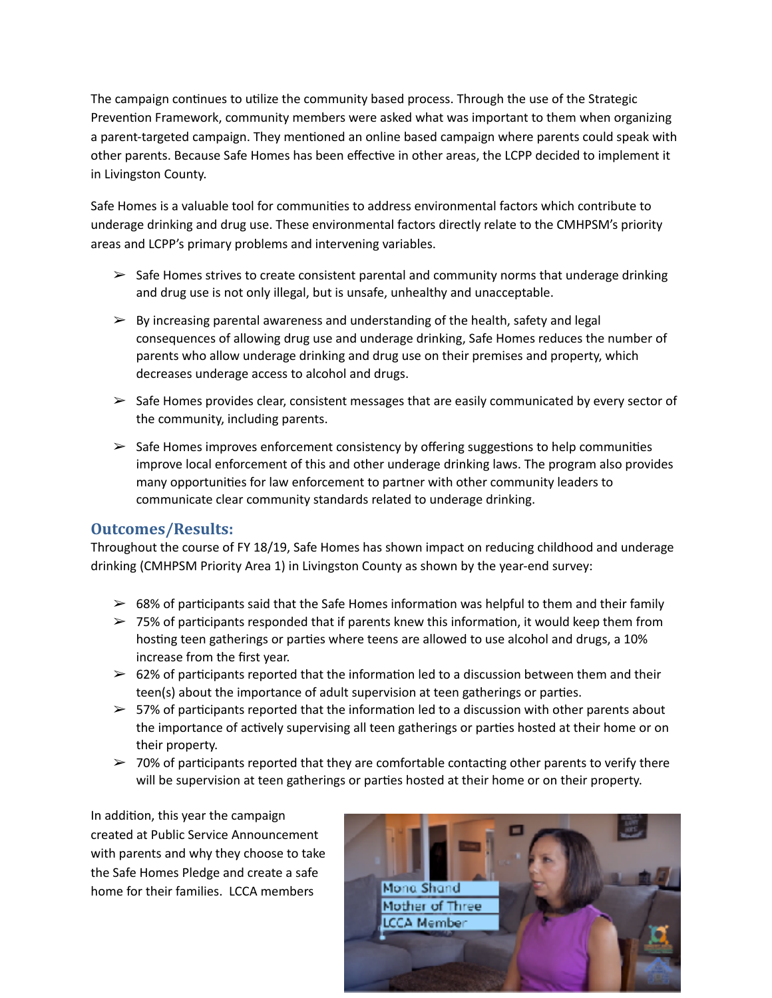The campaign continues to utilize the community based process. Through the use of the Strategic Prevention Framework, community members were asked what was important to them when organizing a parent-targeted campaign. They mentioned an online based campaign where parents could speak with other parents. Because Safe Homes has been effective in other areas, the LCPP decided to implement it in Livingston County.

Safe Homes is a valuable tool for communities to address environmental factors which contribute to underage drinking and drug use. These environmental factors directly relate to the CMHPSM's priority areas and LCPP's primary problems and intervening variables.

- $\triangleright$  Safe Homes strives to create consistent parental and community norms that underage drinking and drug use is not only illegal, but is unsafe, unhealthy and unacceptable.
- $\triangleright$  By increasing parental awareness and understanding of the health, safety and legal consequences of allowing drug use and underage drinking, Safe Homes reduces the number of parents who allow underage drinking and drug use on their premises and property, which decreases underage access to alcohol and drugs.
- $\geq$  Safe Homes provides clear, consistent messages that are easily communicated by every sector of the community, including parents.
- $\triangleright$  Safe Homes improves enforcement consistency by offering suggestions to help communities improve local enforcement of this and other underage drinking laws. The program also provides many opportunities for law enforcement to partner with other community leaders to communicate clear community standards related to underage drinking.

## **Outcomes/Results:**

Throughout the course of FY 18/19, Safe Homes has shown impact on reducing childhood and underage drinking (CMHPSM Priority Area 1) in Livingston County as shown by the year-end survey:

- $\geq$  68% of participants said that the Safe Homes information was helpful to them and their family
- $>$  75% of participants responded that if parents knew this information, it would keep them from hosting teen gatherings or parties where teens are allowed to use alcohol and drugs, a 10% increase from the first year.
- $\geq$  62% of participants reported that the information led to a discussion between them and their teen(s) about the importance of adult supervision at teen gatherings or parties.
- $>$  57% of participants reported that the information led to a discussion with other parents about the importance of actively supervising all teen gatherings or parties hosted at their home or on their property.
- $>$  70% of participants reported that they are comfortable contacting other parents to verify there will be supervision at teen gatherings or parties hosted at their home or on their property.

In addition, this year the campaign created at Public Service Announcement with parents and why they choose to take the Safe Homes Pledge and create a safe home for their families. LCCA members